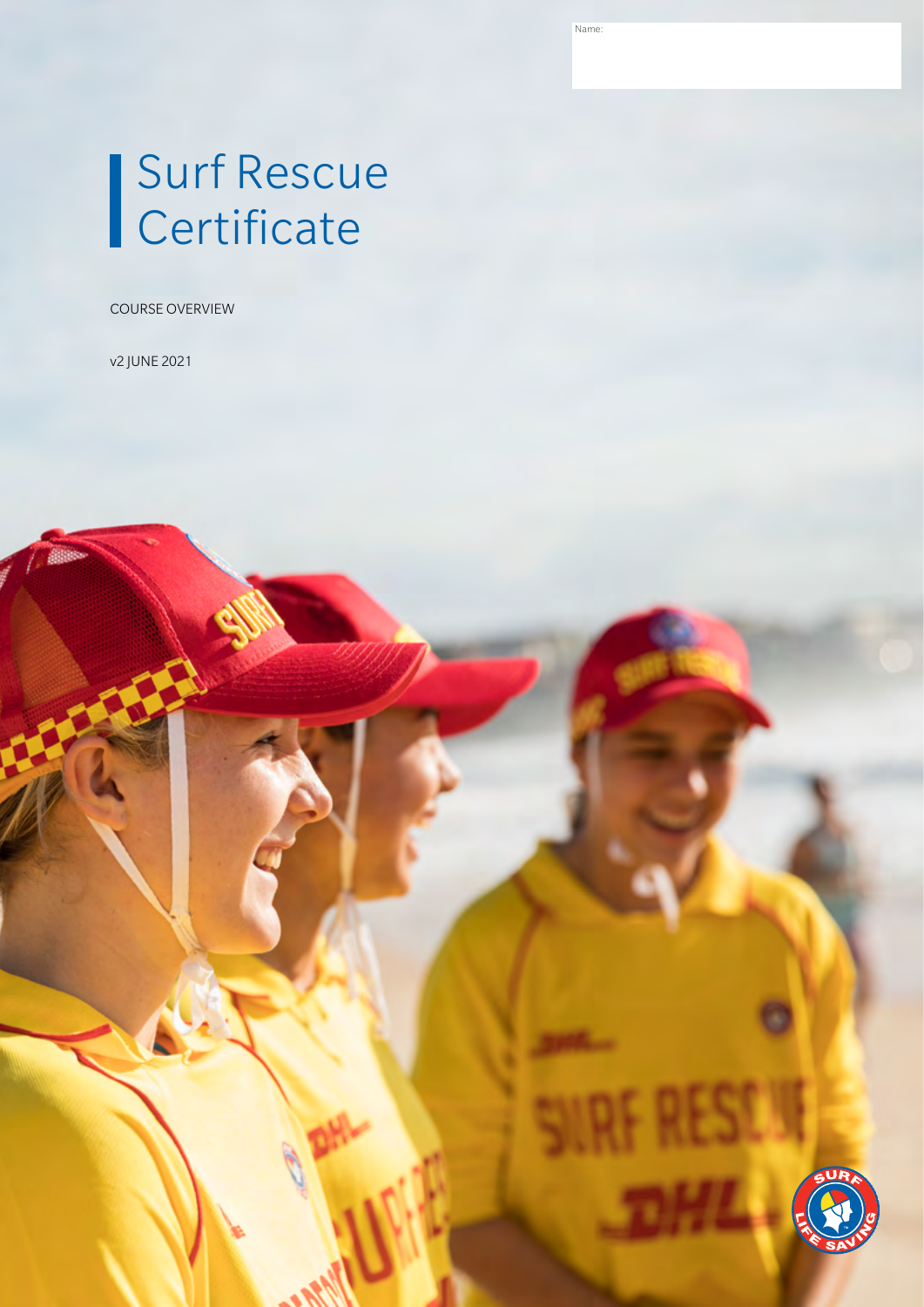Name:

# Surf Rescue **Certificate**

COURSE OVERVIEW

v2 JUNE 2021

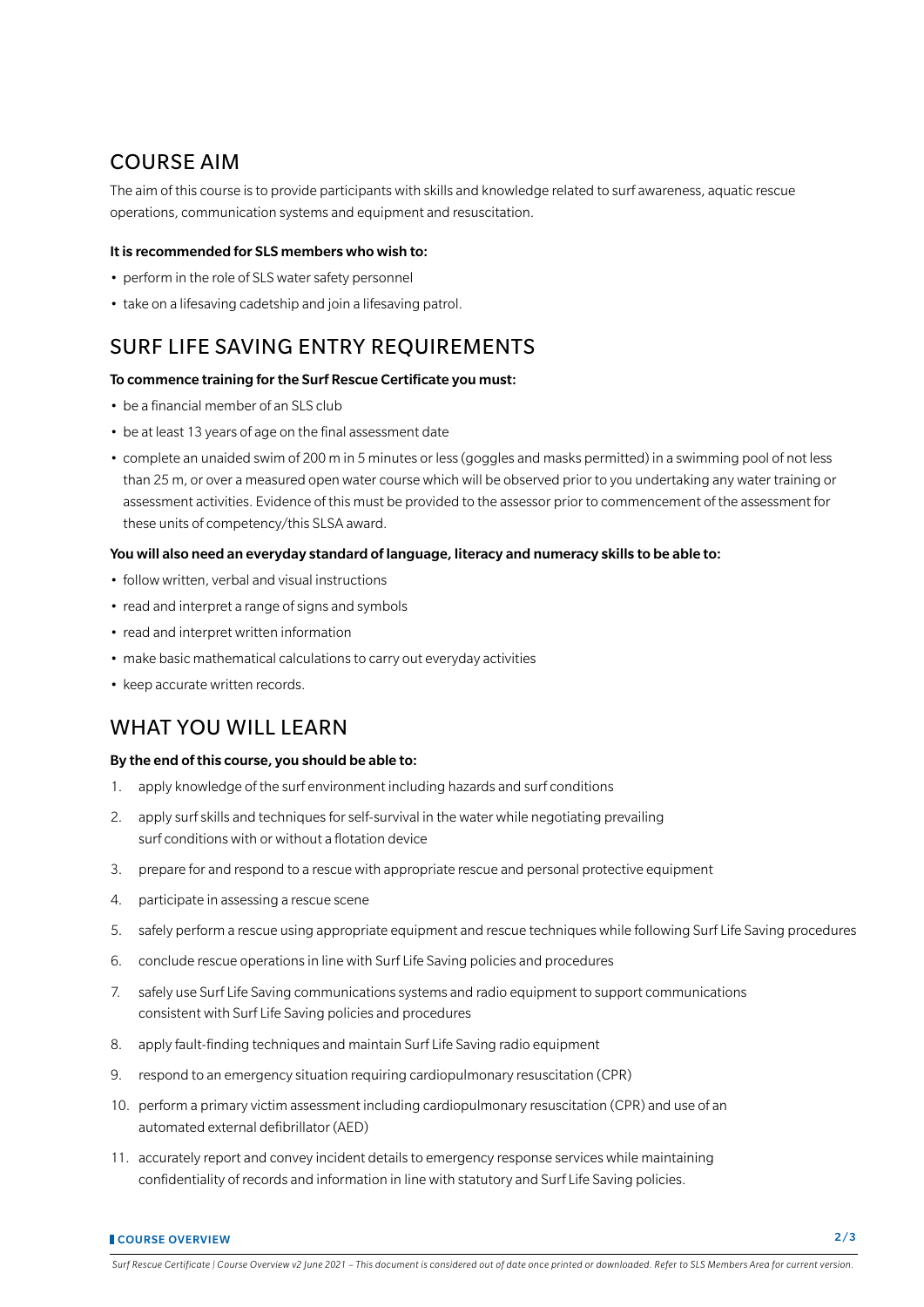## COURSE AIM

The aim of this course is to provide participants with skills and knowledge related to surf awareness, aquatic rescue operations, communication systems and equipment and resuscitation.

#### It is recommended for SLS members who wish to:

- perform in the role of SLS water safety personnel
- take on a lifesaving cadetship and join a lifesaving patrol.

## SURF LIFE SAVING ENTRY REQUIREMENTS

#### To commence training for the Surf Rescue Certificate you must:

- be a financial member of an SLS club
- be at least 13 years of age on the final assessment date
- complete an unaided swim of 200 m in 5 minutes or less (goggles and masks permitted) in a swimming pool of not less than 25 m, or over a measured open water course which will be observed prior to you undertaking any water training or assessment activities. Evidence of this must be provided to the assessor prior to commencement of the assessment for these units of competency/this SLSA award.

#### You will also need an everyday standard of language, literacy and numeracy skills to be able to:

- follow written, verbal and visual instructions
- read and interpret a range of signs and symbols
- read and interpret written information
- make basic mathematical calculations to carry out everyday activities
- keep accurate written records.

### WHAT YOU WILL LEARN

#### By the end of this course, you should be able to:

- 1. apply knowledge of the surf environment including hazards and surf conditions
- 2. apply surf skills and techniques for self-survival in the water while negotiating prevailing surf conditions with or without a flotation device
- 3. prepare for and respond to a rescue with appropriate rescue and personal protective equipment
- 4. participate in assessing a rescue scene
- 5. safely perform a rescue using appropriate equipment and rescue techniques while following Surf Life Saving procedures
- 6. conclude rescue operations in line with Surf Life Saving policies and procedures
- 7. safely use Surf Life Saving communications systems and radio equipment to support communications consistent with Surf Life Saving policies and procedures
- 8. apply fault-finding techniques and maintain Surf Life Saving radio equipment
- 9. respond to an emergency situation requiring cardiopulmonary resuscitation (CPR)
- 10. perform a primary victim assessment including cardiopulmonary resuscitation (CPR) and use of an automated external defibrillator (AED)
- 11. accurately report and convey incident details to emergency response services while maintaining confidentiality of records and information in line with statutory and Surf Life Saving policies.

*Surf Rescue Certificate | Course Overview v2 June 2021 – This document is considered out of date once printed or downloaded. Refer to SLS Members Area for current version.*